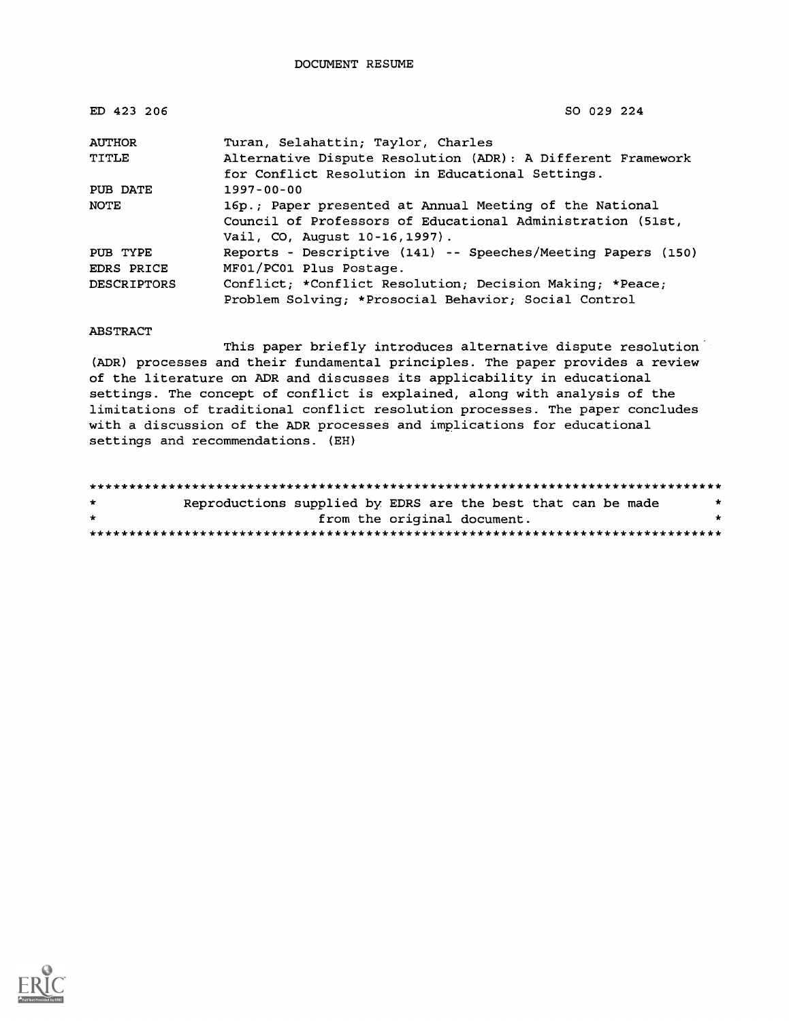DOCUMENT RESUME

| ED 423 206         | SO 029 224                                                                                                                                              |
|--------------------|---------------------------------------------------------------------------------------------------------------------------------------------------------|
| <b>AUTHOR</b>      | Turan, Selahattin; Taylor, Charles                                                                                                                      |
| TITLE              | Alternative Dispute Resolution (ADR): A Different Framework<br>for Conflict Resolution in Educational Settings.                                         |
| PUB DATE           | $1997 - 00 - 00$                                                                                                                                        |
| NOTE               | 16p.; Paper presented at Annual Meeting of the National<br>Council of Professors of Educational Administration (51st,<br>Vail, CO, August 10-16, 1997). |
| PUB TYPE           | Reports - Descriptive (141) -- Speeches/Meeting Papers (150)                                                                                            |
| EDRS PRICE         | MF01/PC01 Plus Postage.                                                                                                                                 |
| <b>DESCRIPTORS</b> | Conflict; *Conflict Resolution; Decision Making; *Peace;<br>Problem Solving; *Prosocial Behavior; Social Control                                        |

ABSTRACT

This paper briefly introduces alternative dispute resolution (ADR) processes and their fundamental principles. The paper provides a review of the literature on ADR and discusses its applicability in educational settings. The concept of conflict is explained, along with analysis of the limitations of traditional conflict resolution processes. The paper concludes with a discussion of the ADR processes and implications for educational settings and recommendations. (EH)

\*\*\*\*\*\*\*\*\*\*\*\*\*\*\*\*\*\*\*\*\*\*\*\*\*\*\*\*\*\*\*\*\*\*\*\*\*\*\*\*\*\*\*\*\*\*\*\*\*\*\*\*\*\*\*\*\*\*\*\*\*\*\*\*\*\*\*\*\*\*\*\*\*\*\*\*\*\*\*\*  $\star$ Reproductions supplied by EDRS are the best that can be made from the original document. \*\*\*\*\*\*\*\*\*\*\*\*\*\*\*\*\*\*\*\*\*\*\*\*\*\*\*\*\*\*\*\*\*\*\*\*\*\*\*\*\*\*\*\*\*\*\*\*\*\*\*\*\*\*\*\*\*\*\*\*\*\*\*\*\*\*\*\*\*\*\*\*\*\*\*\*\*\*\*\*

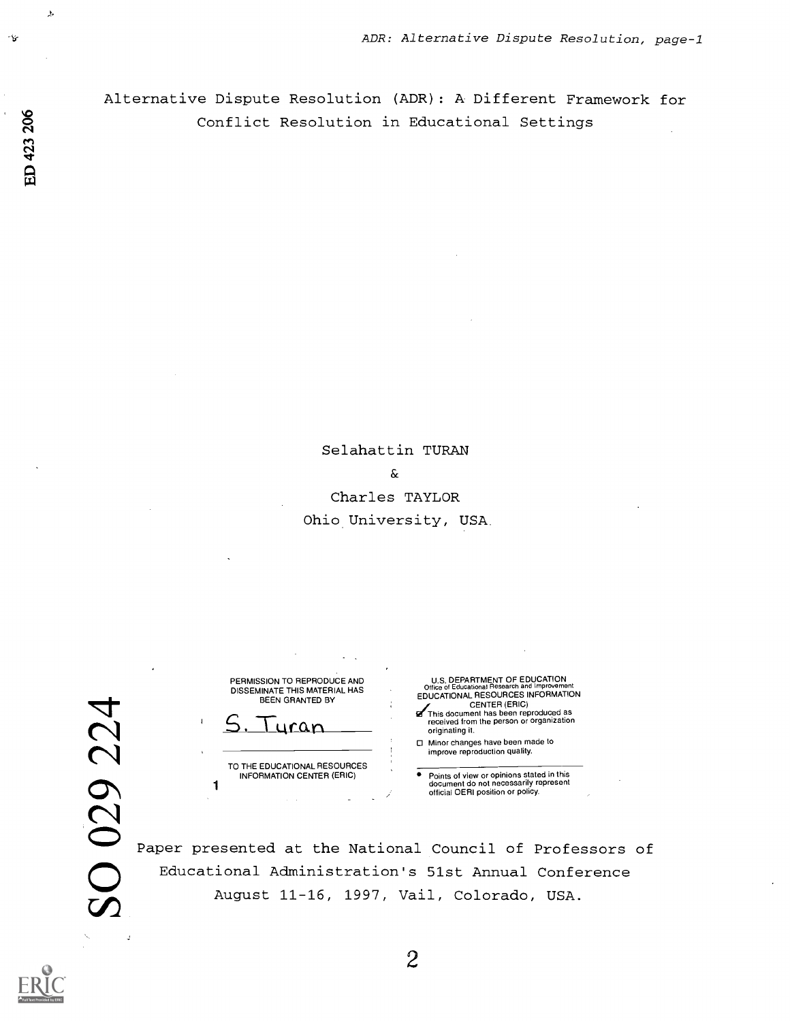Alternative Dispute Resolution (ADR): A Different Framework for Conflict Resolution in Educational Settings

> Selahattin TURAN  $\delta$ Charles TAYLOR Ohio University, USA

PERMISSION TO REPRODUCE AND U.S. DEPARTMENT OF EDUCATION

TO THE EDUCATIONAL RESOURCES<br>INFORMATION CENTER (ERIC)

DISSEMINATE THIS MATERIAL HAS Office of Educational Research and improvement<br>BEEN GRANTED BY EDUCATIONAL RESCUENCES INFORMATION EDUCATIONAL RESOURCES INFORMATION<br>
BEEN GRANTED BY<br>
S. Turan Been reproduced as<br>
EDUCATIONAL RESOURCES INFORMATION<br>
This document has been reproduced as<br>
enceived from the person or organization<br>
originating it. originating it.

Minor changes have been made to improve reproduction quality.

INFORMATION CENTER (ERIC) ● Points of view or opinions stated in this<br>document do not necessarily represent<br>official OERI position or policy.

Paper presented at the National Council of Professors of Educational Administration's 51st Annual Conference August 11-16, 1997, Vail, Colorado, USA.

2

 $\ddot{v}$ 

 $\lambda$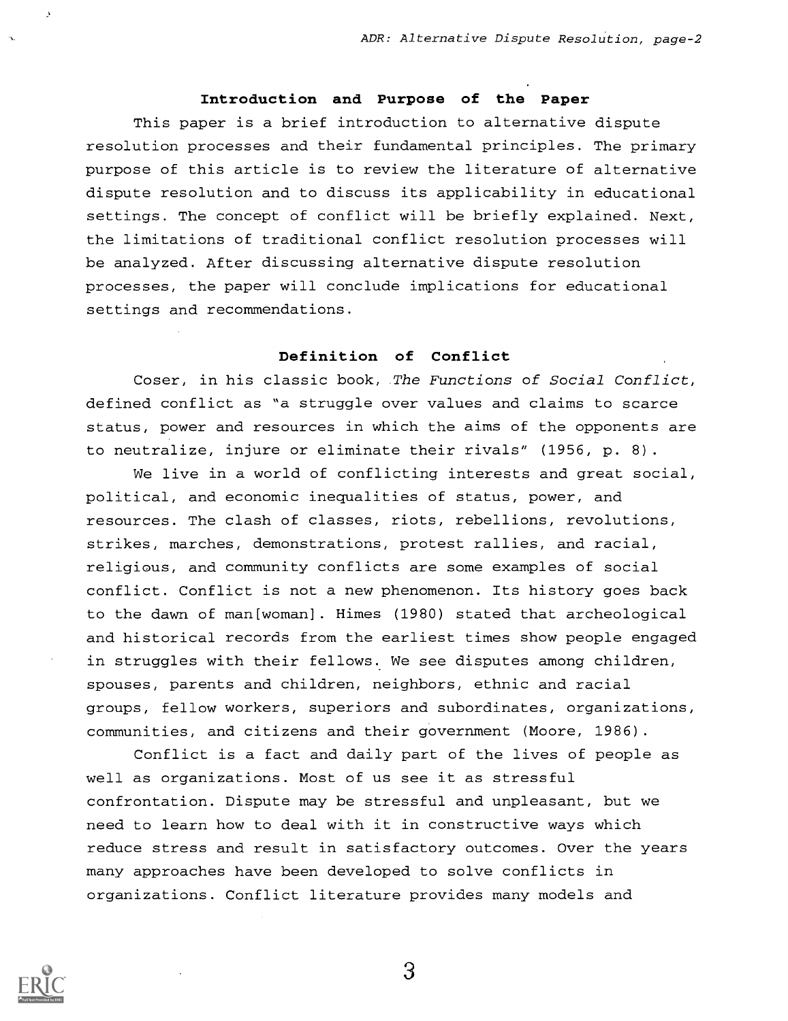# Introduction and Purpose of the Paper

This paper is a brief introduction to alternative dispute resolution processes and their fundamental principles. The primary purpose of this article is to review the literature of alternative dispute resolution and to discuss its applicability in educational settings. The concept of conflict will be briefly explained. Next, the limitations of traditional conflict resolution processes will be analyzed. After discussing alternative dispute resolution processes, the paper will conclude implications for educational settings and recommendations.

# Definition of Conflict

Coser, in his classic book, The Functions of Social Conflict, defined conflict as "a struggle over values and claims to scarce status, power and resources in which the aims of the opponents are to neutralize, injure or eliminate their rivals" (1956, p. 8).

We live in a world of conflicting interests and great social, political, and economic inequalities of status, power, and resources. The clash of classes, riots, rebellions, revolutions, strikes, marches, demonstrations, protest rallies, and racial, religious, and community conflicts are some examples of social conflict. Conflict is not a new phenomenon. Its history goes back to the dawn of man[woman]. Himes (1980) stated that archeological and historical records from the earliest times show people engaged in struggles with their fellows. We see disputes among children, spouses, parents and children, neighbors, ethnic and racial groups, fellow workers, superiors and subordinates, organizations, communities, and citizens and their government (Moore, 1986).

Conflict is a fact and daily part of the lives of people as well as organizations. Most of us see it as stressful confrontation. Dispute may be stressful and unpleasant, but we need to learn how to deal with it in constructive ways which reduce stress and result in satisfactory outcomes. Over the years many approaches have been developed to solve conflicts in organizations. Conflict literature provides many models and

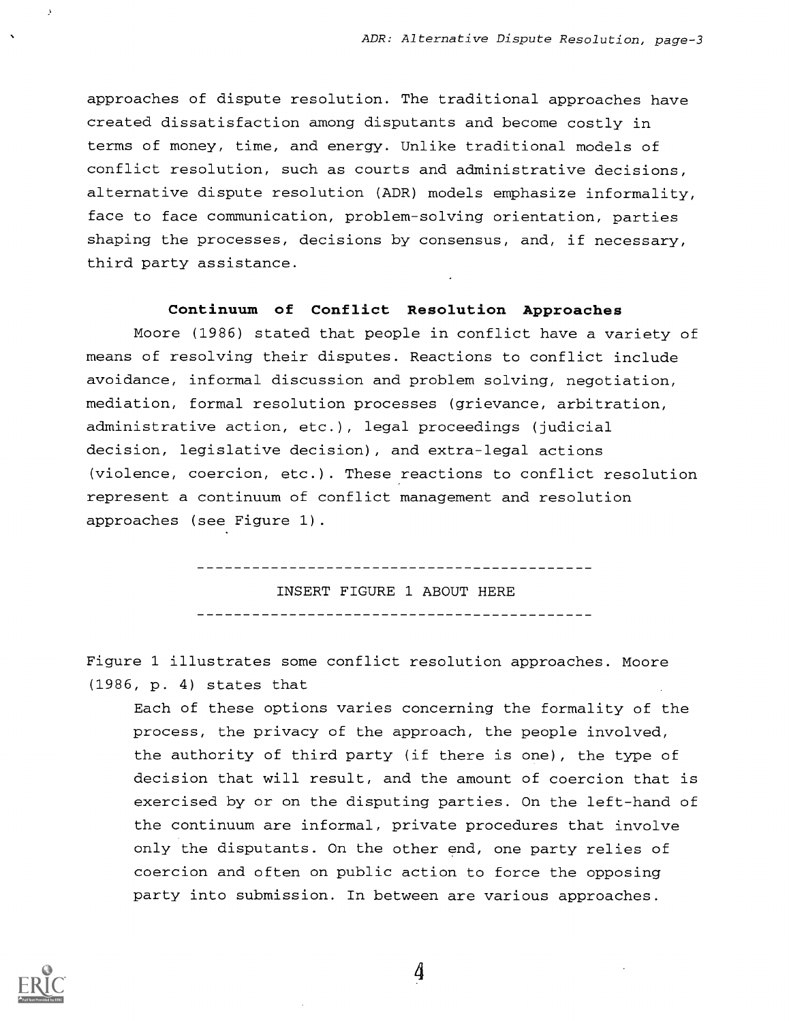approaches of dispute resolution. The traditional approaches have created dissatisfaction among disputants and become costly in terms of money, time, and energy. Unlike traditional models of conflict resolution, such as courts and administrative decisions, alternative dispute resolution (ADR) models emphasize informality, face to face communication, problem-solving orientation, parties shaping the processes, decisions by consensus, and, if necessary, third party assistance.

# Continuum of Conflict Resolution Approaches

Moore (1986) stated that people in conflict have a variety of means of resolving their disputes. Reactions to conflict include avoidance, informal discussion and problem solving, negotiation, mediation, formal resolution processes (grievance, arbitration, administrative action, etc.), legal proceedings (judicial decision, legislative decision), and extra-legal actions (violence, coercion, etc.). These reactions to conflict resolution represent a continuum of conflict management and resolution approaches (see Figure 1).

> INSERT FIGURE 1 ABOUT HERE

Figure 1 illustrates some conflict resolution approaches. Moore (1986, p. 4) states that

Each of these options varies concerning the formality of the process, the privacy of the approach, the people involved, the authority of third party (if there is one), the type of decision that will result, and the amount of coercion that is exercised by or on the disputing parties. On the left-hand of the continuum are informal, private procedures that involve only the disputants. On the other end, one party relies of coercion and often on public action to force the opposing party into submission. In between are various approaches.

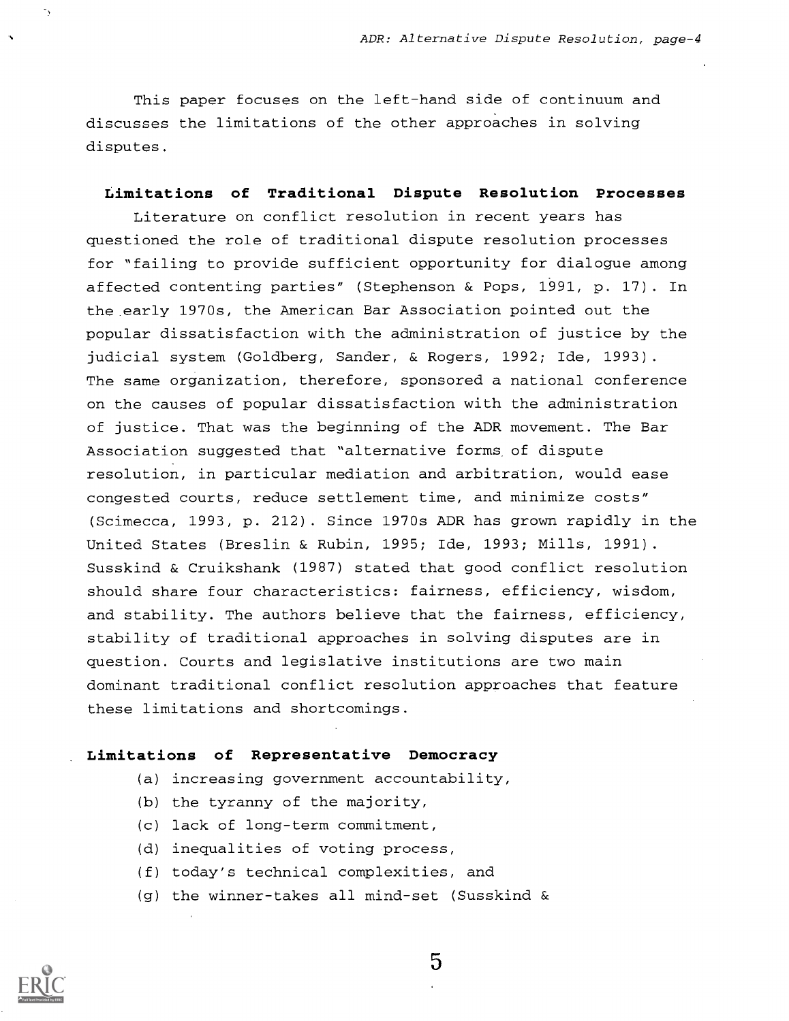This paper focuses on the left-hand side of continuum and discusses the limitations of the other approaches in solving disputes.

#### Limitations of Traditional Dispute Resolution Processes

Literature on conflict resolution in recent years has questioned the role of traditional dispute resolution processes for "failing to provide sufficient opportunity for dialogue among affected contenting parties" (Stephenson & Pops, 1991, p. 17) . In the early 1970s, the American Bar Association pointed out the popular dissatisfaction with the administration of justice by the judicial system (Goldberg, Sander, & Rogers, 1992; Ide, 1993). The same organization, therefore, sponsored a national conference on the causes of popular dissatisfaction with the administration of justice. That was the beginning of the ADR movement. The Bar Association suggested that "alternative forms of dispute resolution, in particular mediation and arbitration, would ease congested courts, reduce settlement time, and minimize costs" (Scimecca, 1993, p. 212) . Since 1970s ADR has grown rapidly in the United States (Breslin & Rubin, 1995; Ide, 1993; Mills, 1991). Susskind & Cruikshank (1987) stated that good conflict resolution should share four characteristics: fairness, efficiency, wisdom, and stability. The authors believe that the fairness, efficiency, stability of traditional approaches in solving disputes are in question. Courts and legislative institutions are two main dominant traditional conflict resolution approaches that feature these limitations and shortcomings.

# Limitations of Representative Democracy

- (a) increasing government accountability,
- (b) the tyranny of the majority,
- (c) lack of long-term commitment,
- (d) inequalities of voting process,
- (f) today's technical complexities, and
- (g) the winner-takes all mind-set (Susskind &



 $\overline{5}$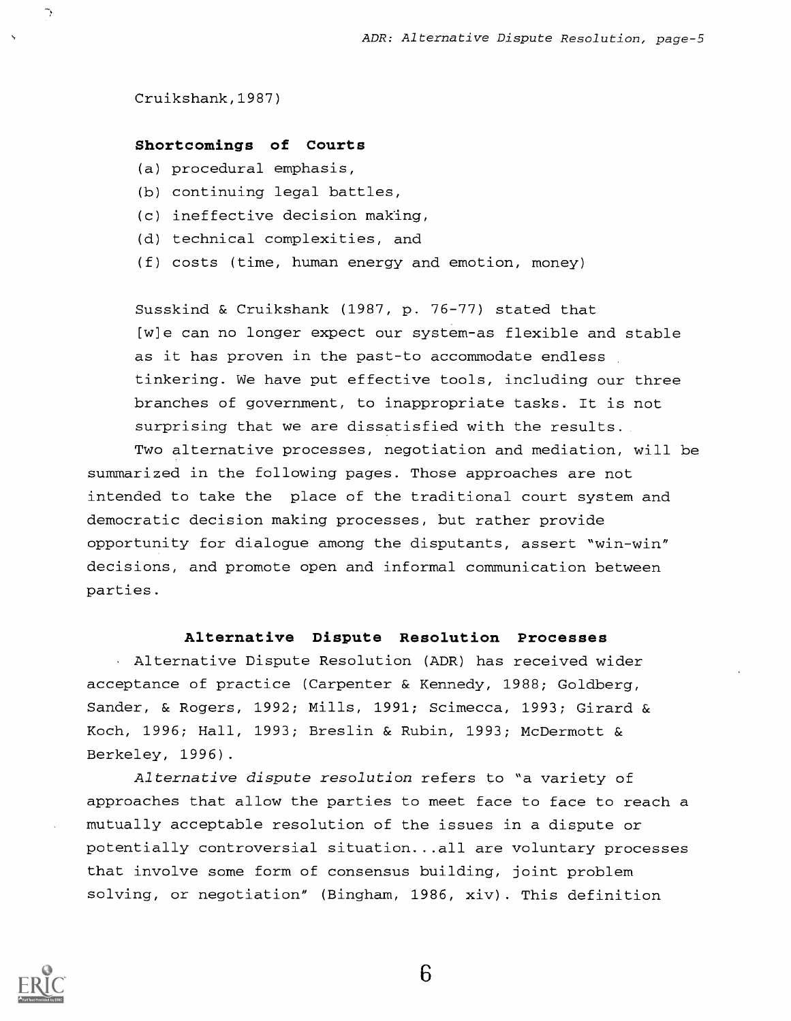Cruikshank,1987)

 $\hat{\mathcal{L}}$ 

#### Shortcomings of Courts

- (a) procedural emphasis,
- (b) continuing legal battles,
- (c) ineffective decision making,
- (d) technical complexities, and
- (f) costs (time, human energy and emotion, money)

Susskind & Cruikshank (1987, p. 76-77) stated that [w]e can no longer expect our system-as flexible and stable as it has proven in the past-to accommodate endless tinkering. We have put effective tools, including our three branches of government, to inappropriate tasks. It is not surprising that we are dissatisfied with the results.

Two alternative processes, negotiation and mediation, will be summarized in the following pages. Those approaches are not intended to take the place of the traditional court system and democratic decision making processes, but rather provide opportunity for dialogue among the disputants, assert "win-win" decisions, and promote open and informal communication between parties.

#### Alternative Dispute Resolution Processes

Alternative Dispute Resolution (ADR) has received wider acceptance of practice (Carpenter & Kennedy, 1988; Goldberg, Sander, & Rogers, 1992; Mills, 1991; Scimecca, 1993; Girard & Koch, 1996; Hall, 1993; Breslin & Rubin, 1993; McDermott & Berkeley, 1996).

Alternative dispute resolution refers to "a variety of approaches that allow the parties to meet face to face to reach a mutually acceptable resolution of the issues in a dispute or potentially controversial situation...all are voluntary processes that involve some form of consensus building, joint problem solving, or negotiation" (Bingham, 1986, xiv) . This definition

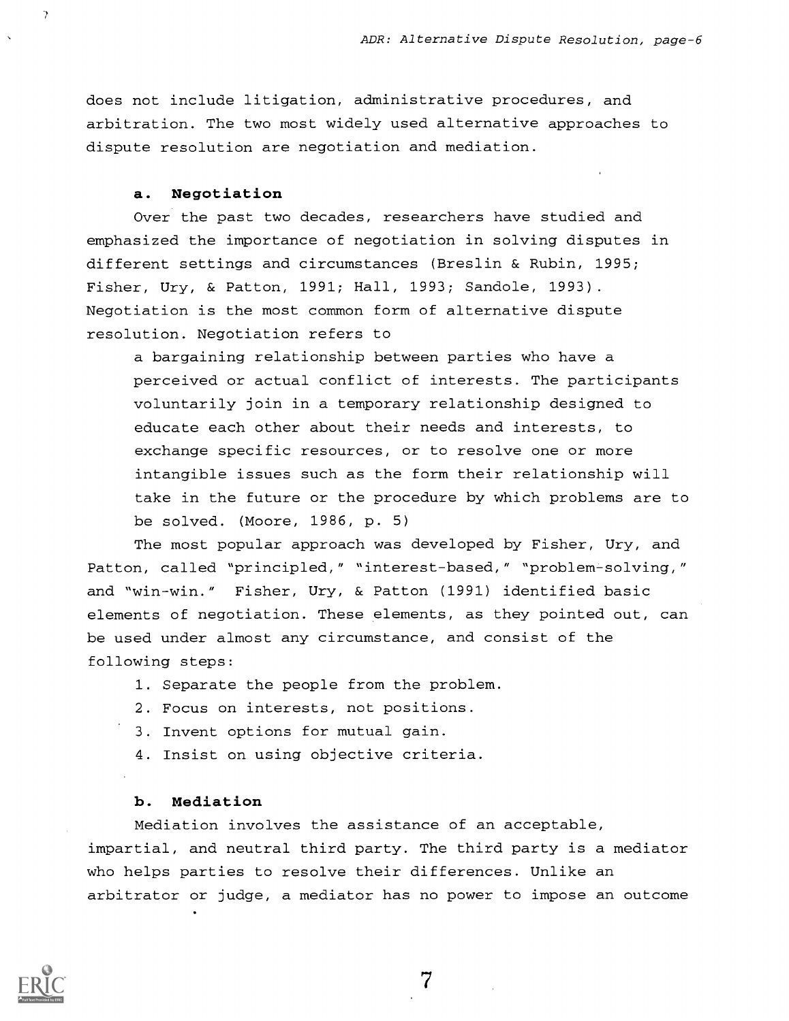does not include litigation, administrative procedures, and arbitration. The two most widely used alternative approaches to dispute resolution are negotiation and mediation.

#### a. Negotiation

 $\gamma$ 

Over the past two decades, researchers have studied and emphasized the importance of negotiation in solving disputes in different settings and circumstances (Breslin & Rubin, 1995; Fisher, Ury, & Patton, 1991; Hall, 1993; Sandole, 1993). Negotiation is the most common form of alternative dispute resolution. Negotiation refers to

a bargaining relationship between parties who have a perceived or actual conflict of interests. The participants voluntarily join in a temporary relationship designed to educate each other about their needs and interests, to exchange specific resources, or to resolve one or more intangible issues such as the form their relationship will take in the future or the procedure by which problems are to be solved. (Moore, 1986, p. 5)

The most popular approach was developed by Fisher, Ury, and Patton, called "principled," "interest-based," "problem-solving," and "win-win." Fisher, Ury, & Patton (1991) identified basic elements of negotiation. These elements, as they pointed out, can be used under almost any circumstance, and consist of the following steps:

- 1. Separate the people from the problem.
- 2. Focus on interests, not positions.
- 3. Invent options for mutual gain.
- 4. Insist on using objective criteria.

#### b. Mediation

Mediation involves the assistance of an acceptable, impartial, and neutral third party. The third party is a mediator who helps parties to resolve their differences. Unlike an arbitrator or judge, a mediator has no power to impose an outcome

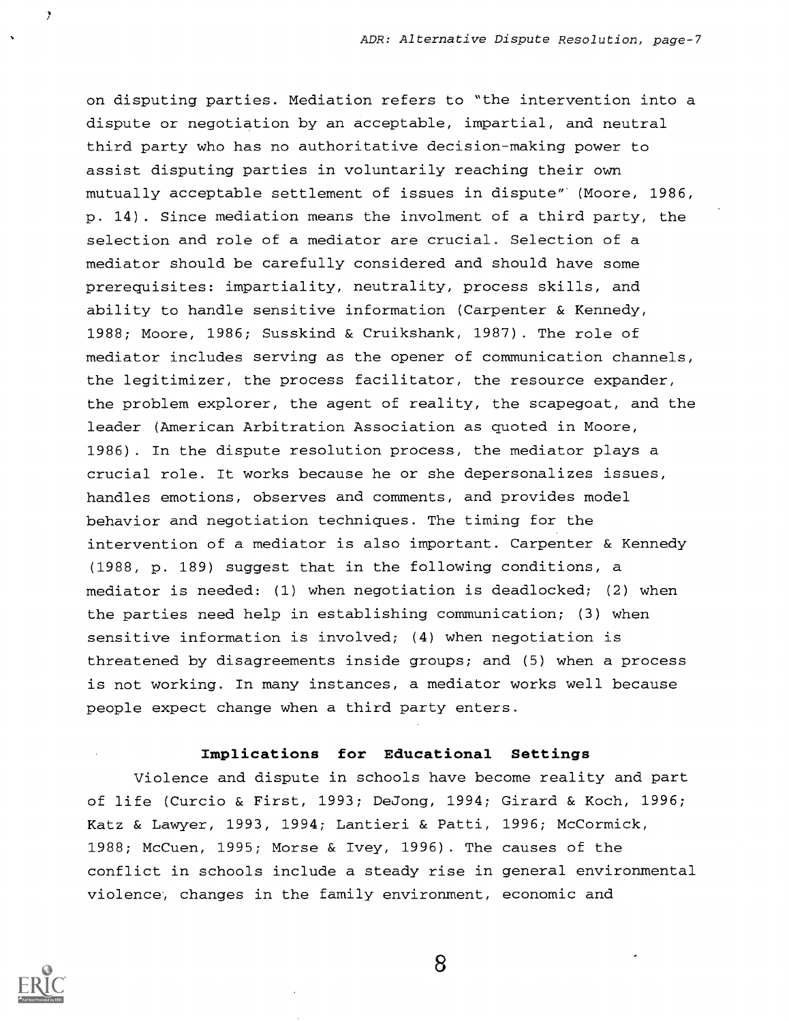on disputing parties. Mediation refers to "the intervention into a dispute or negotiation by an acceptable, impartial, and neutral third party who has no authoritative decision-making power to assist disputing parties in voluntarily reaching their own mutually acceptable settlement of issues in dispute" (Moore, 1986, p. 14). Since mediation means the involment of a third party, the selection and role of a mediator are crucial. Selection of a mediator should be carefully considered and should have some prerequisites: impartiality, neutrality, process skills, and ability to handle sensitive information (Carpenter & Kennedy, 1988; Moore, 1986; Susskind & Cruikshank, 1987) . The role of mediator includes serving as the opener of communication channels, the legitimizer, the process facilitator, the resource expander, the problem explorer, the agent of reality, the scapegoat, and the leader (American Arbitration Association as quoted in Moore, 1986) . In the dispute resolution process, the mediator plays a crucial role. It works because he or she depersonalizes issues, handles emotions, observes and comments, and provides model behavior and negotiation techniques. The timing for the intervention of a mediator is also important. Carpenter & Kennedy (1988, p. 189) suggest that in the following conditions, a mediator is needed: (1) when negotiation is deadlocked; (2) when the parties need help in establishing communication; (3) when sensitive information is involved; (4) when negotiation is threatened by disagreements inside groups; and (5) when a process is not working. In many instances, a mediator works well because people expect change when a third party enters.

# Implications for Educational Settings

Violence and dispute in schools have become reality and part of life (Curcio & First, 1993; DeJong, 1994; Girard & Koch, 1996; Katz & Lawyer, 1993, 1994; Lantieri & Patti, 1996; McCormick, 1988; McCuen, 1995; Morse & Ivey, 1996) . The causes of the conflict in schools include a steady rise in general environmental violence, changes in the family environment, economic and



ÿ.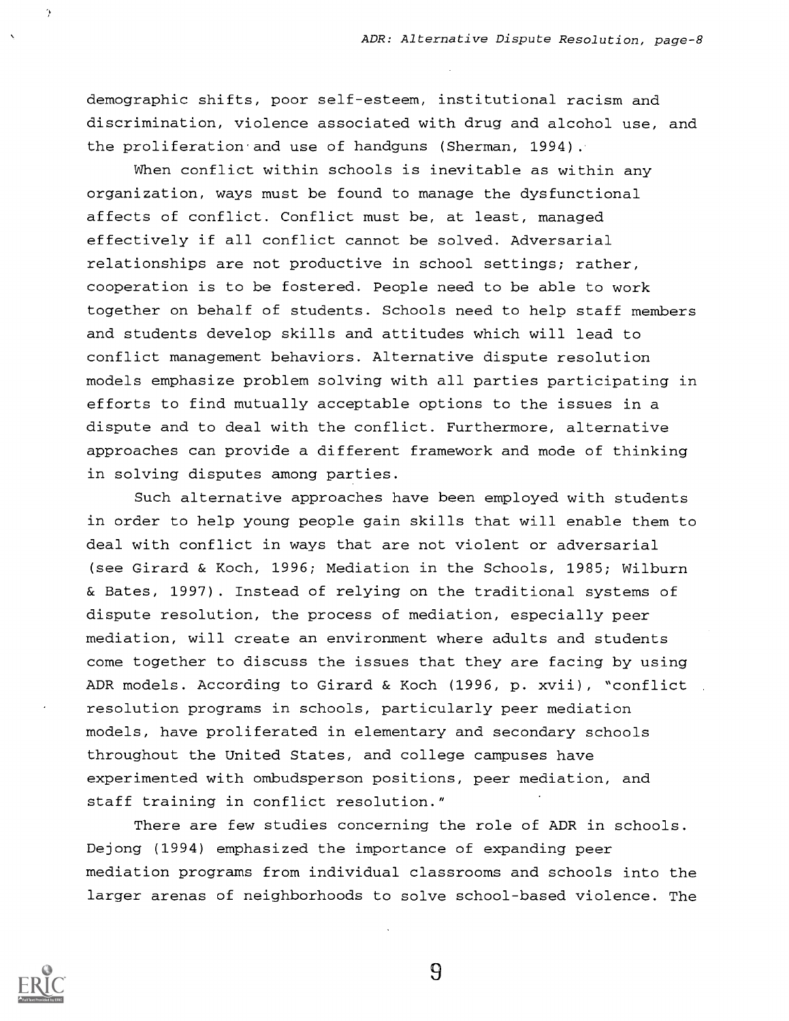demographic shifts, poor self-esteem, institutional racism and discrimination, violence associated with drug and alcohol use, and the proliferation'and use of handguns (Sherman, 1994).

When conflict within schools is inevitable as within any organization, ways must be found to manage the dysfunctional affects of conflict. Conflict must be, at least, managed effectively if all conflict cannot be solved. Adversarial relationships are not productive in school settings; rather, cooperation is to be fostered. People need to be able to work together on behalf of students. Schools need to help staff members and students develop skills and attitudes which will lead to conflict management behaviors. Alternative dispute resolution models emphasize problem solving with all parties participating in efforts to find mutually acceptable options to the issues in a dispute and to deal with the conflict. Furthermore, alternative approaches can provide a different framework and mode of thinking in solving disputes among parties.

Such alternative approaches have been employed with students in order to help young people gain skills that will enable them to deal with conflict in ways that are not violent or adversarial (see Girard & Koch, 1996; Mediation in the Schools, 1985; Wilburn & Bates, 1997) . Instead of relying on the traditional systems of dispute resolution, the process of mediation, especially peer mediation, will create an environment where adults and students come together to discuss the issues that they are facing by using ADR models. According to Girard & Koch (1996, p. xvii), "conflict resolution programs in schools, particularly peer mediation models, have proliferated in elementary and secondary schools throughout the United States, and college campuses have experimented with ombudsperson positions, peer mediation, and staff training in conflict resolution."

There are few studies concerning the role of ADR in schools. Dejong (1994) emphasized the importance of expanding peer mediation programs from individual classrooms and schools into the larger arenas of neighborhoods to solve school-based violence. The



 $\Theta$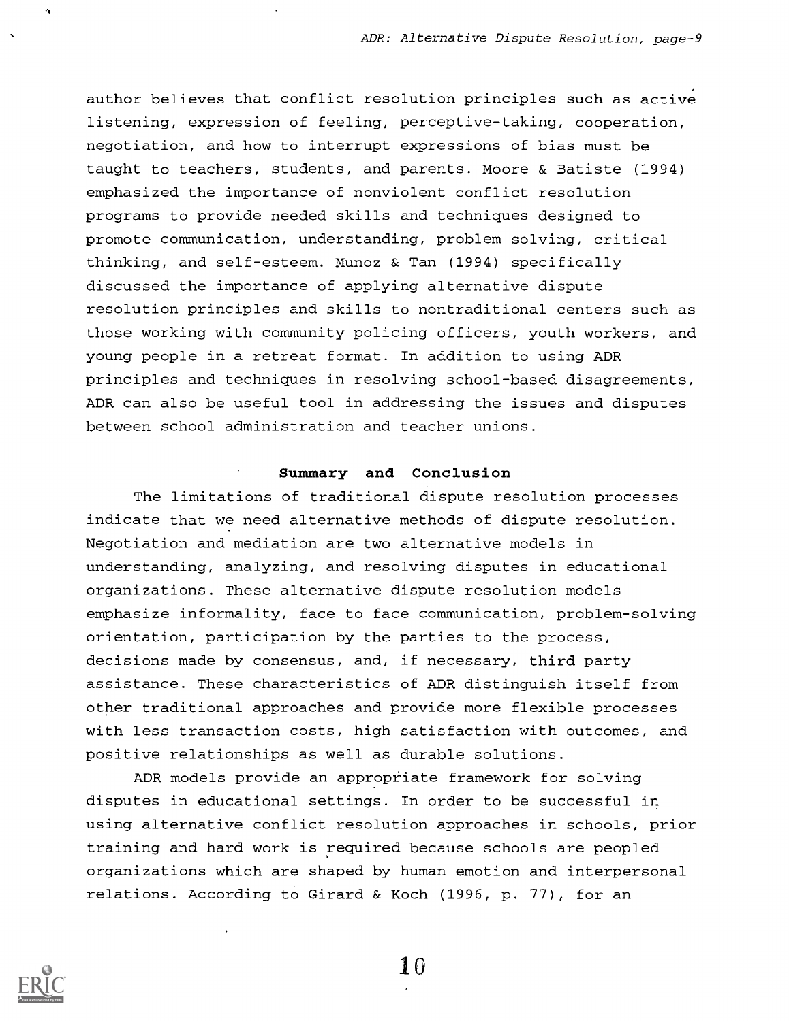author believes that conflict resolution principles such as active listening, expression of feeling, perceptive-taking, cooperation, negotiation, and how to interrupt expressions of bias must be taught to teachers, students, and parents. Moore & Batiste (1994) emphasized the importance of nonviolent conflict resolution programs to provide needed skills and techniques designed to promote communication, understanding, problem solving, critical thinking, and self-esteem. Munoz & Tan (1994) specifically discussed the importance of applying alternative dispute resolution principles and skills to nontraditional centers such as those working with community policing officers, youth workers, and young people in a retreat format. In addition to using ADR principles and techniques in resolving school-based disagreements, ADR can also be useful tool in addressing the issues and disputes between school administration and teacher unions.

# Summary and Conclusion

The limitations of traditional dispute resolution processes indicate that we need alternative methods of dispute resolution. Negotiation and mediation are two alternative models in understanding, analyzing, and resolving disputes in educational organizations. These alternative dispute resolution models emphasize informality, face to face communication, problem-solving orientation, participation by the parties to the process, decisions made by consensus, and, if necessary, third party assistance. These characteristics of ADR distinguish itself from other traditional approaches and provide more flexible processes with less transaction costs, high satisfaction with outcomes, and positive relationships as well as durable solutions.

ADR models provide an appropriate framework for solving disputes in educational settings. In order to be successful in using alternative conflict resolution approaches in schools, prior training and hard work is required because schools are peopled organizations which are shaped by human emotion and interpersonal relations. According to Girard & Koch (1996, p. 77), for an



 $10\,$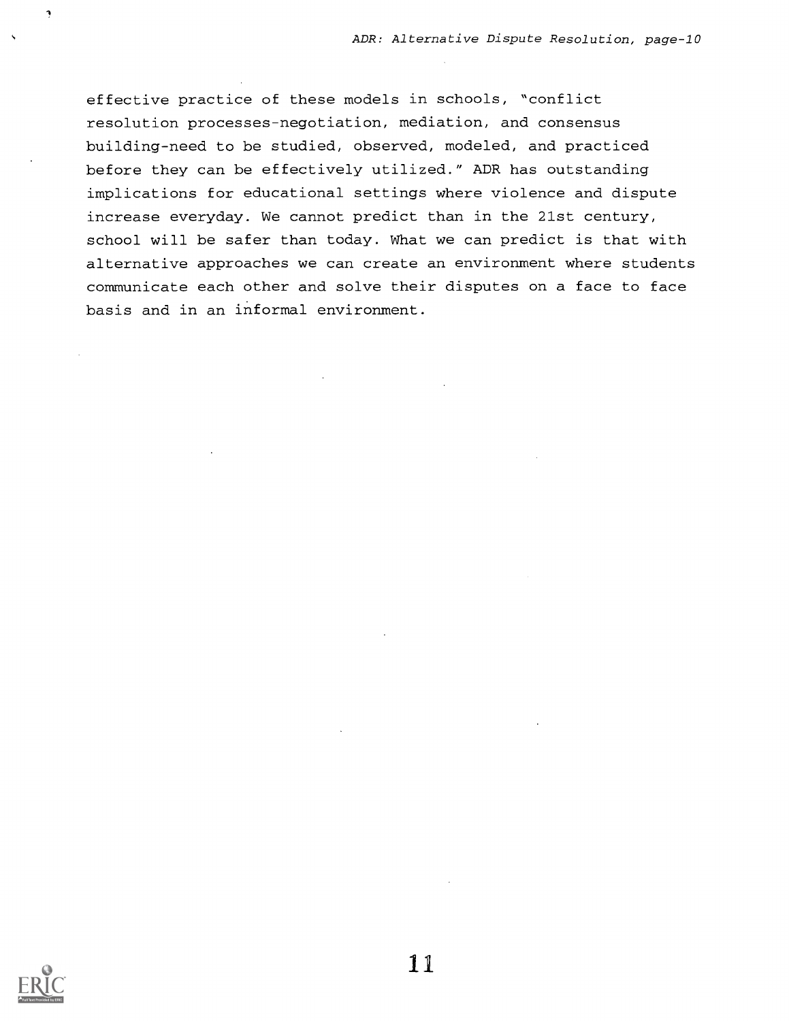effective practice of these models in schools, "conflict resolution processes-negotiation, mediation, and consensus building-need to be studied, observed, modeled, and practiced before they can be effectively utilized." ADR has outstanding implications for educational settings where violence and dispute increase everyday. We cannot predict than in the 21st century, school will be safer than today. What we can predict is that with alternative approaches we can create an environment where students communicate each other and solve their disputes on a face to face basis and in an informal environment.



ņ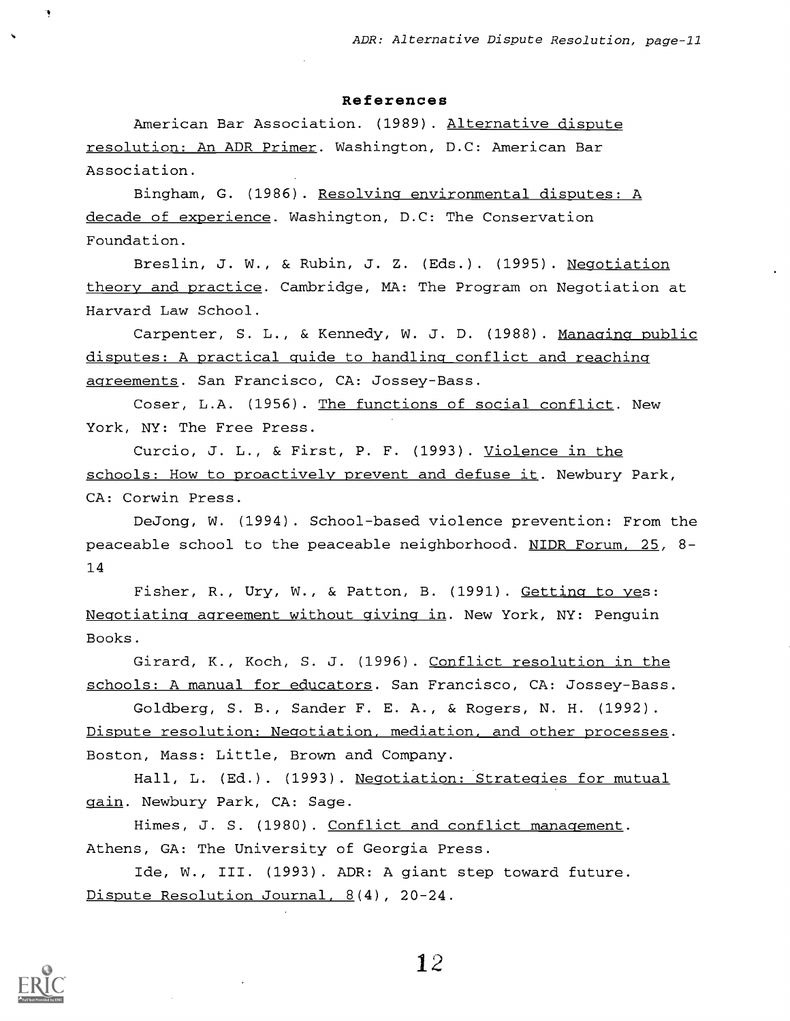#### References

American Bar Association. (1989) . Alternative dispute resolution: An ADR Primer. Washington, D.C: American Bar Association.

Bingham, G. (1986). Resolving environmental disputes: A decade of experience. Washington, D.C: The Conservation Foundation.

Breslin, J. W., & Rubin, J. Z. (Eds.). (1995). Negotiation theory and practice. Cambridge, MA: The Program on Negotiation at Harvard Law School.

Carpenter, S. L., & Kennedy, W. J. D. (1988). Managing public disputes: A practical guide to handling conflict and reaching agreements. San Francisco, CA: Jossey-Bass.

Coser, L.A. (1956) . The functions of social conflict. New York, NY: The Free Press.

Curcio, J. L., & First, P. F. (1993). Violence in the schools: How to proactively prevent and defuse it. Newbury Park, CA: Corwin Press.

DeJong, W. (1994). School-based violence prevention: From the peaceable school to the peaceable neighborhood. NIDR Forum, 25, 8- 14

Fisher, R., Ury, W., & Patton, B. (1991). Getting to yes: Negotiating agreement without giving in. New York, NY: Penguin Books.

Girard, K., Koch, S. J. (1996). Conflict resolution in the schools: A manual for educators. San Francisco, CA: Jossey-Bass.

Goldberg, S. B., Sander F. E. A., & Rogers, N. H. (1992). Dispute resolution: Negotiation, mediation, and other processes. Boston, Mass: Little, Brown and Company.

Hall, L. (Ed.). (1993). Negotiation: Strategies for mutual gain. Newbury Park, CA: Sage.

Himes, J. S. (1980). Conflict and conflict management. Athens, GA: The University of Georgia Press.

Ide, W., III. (1993). ADR: A giant step toward future. Dispute Resolution Journal, 8(4), 20-24.

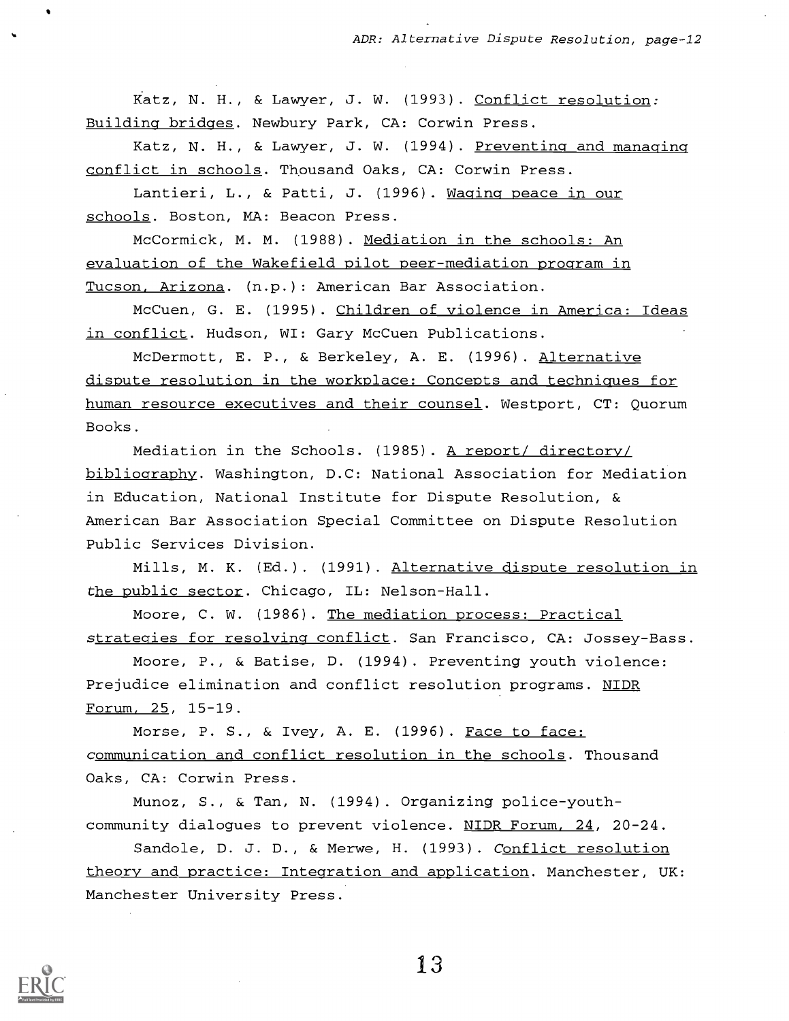Katz, N. H., & Lawyer, J. W. (1993) . Conflict resolution: Building bridges. Newbury Park, CA: Corwin Press.

Katz, N. H., & Lawyer, J. W. (1994). Preventing and managing conflict in schools. Thousand Oaks, CA: Corwin Press.

Lantieri, L., & Patti, J. (1996). Waging peace in our schools. Boston, MA: Beacon Press.

McCormick, M. M. (1988) . Mediation in the schools: An evaluation of the Wakefield pilot peer-mediation program in Tucson, Arizona. (n.p.) : American Bar Association.

McCuen, G. E. (1995) . Children of violence in America: Ideas in conflict. Hudson, WI: Gary McCuen Publications.

McDermott, E. P., & Berkeley, A. E. (1996) . Alternative dispute resolution in the workplace: Concepts and techniques for human resource executives and their counsel. Westport, CT: Quorum Books.

Mediation in the Schools. (1985) . A report/ directory/ bibliography. Washington, D.C: National Association for Mediation in Education, National Institute for Dispute Resolution, & American Bar Association Special Committee on Dispute Resolution Public Services Division.

Mills, M. K. (Ed.). (1991). Alternative dispute resolution in the public sector. Chicago, IL: Nelson-Hall.

Moore, C. W. (1986). The mediation process: Practical strategies for resolving conflict. San Francisco, CA: Jossey-Bass.

Moore, P., & Batise, D. (1994) . Preventing youth violence: Prejudice elimination and conflict resolution programs. NIDR Forum, 25, 15-19.

Morse, P. S., & Ivey, A. E. (1996). Face to face: communication and conflict resolution in the schools. Thousand Oaks, CA: Corwin Press.

Munoz, S., & Tan, N. (1994). Organizing police-youthcommunity dialogues to prevent violence. NIDR Forum, 24, 20-24.

Sandole, D. J. D., & Merwe, H. (1993). Conflict resolution theory and practice: Integration and application. Manchester, UK: Manchester University Press.

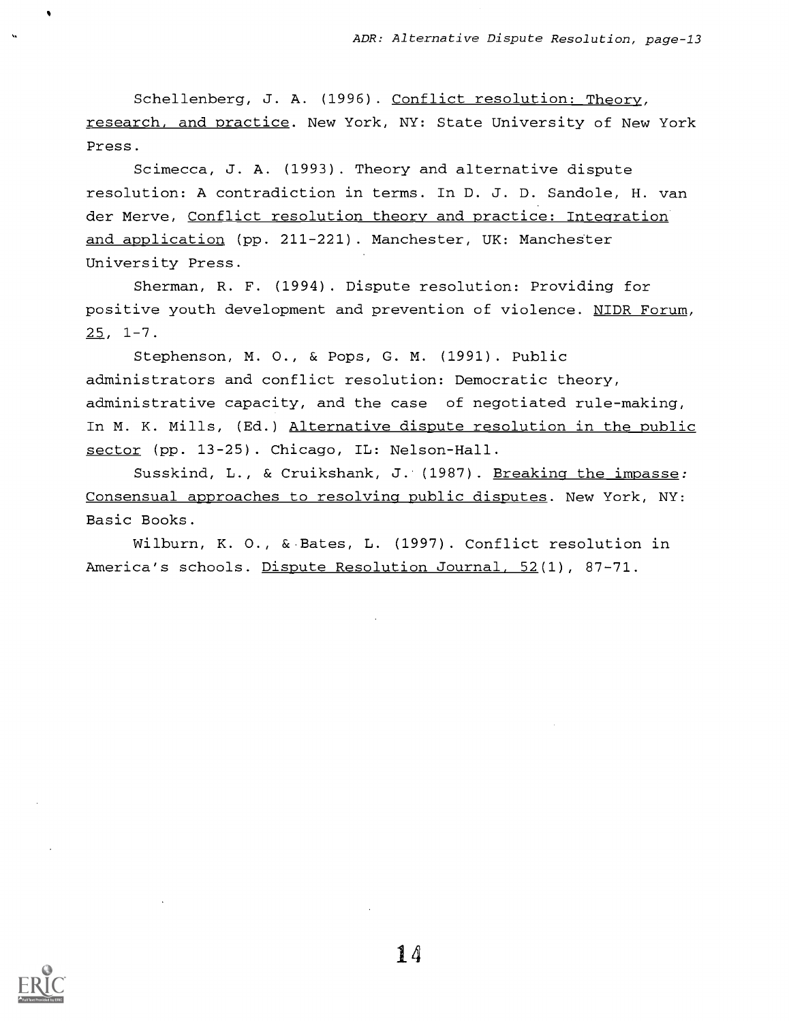Schellenberg, J. A. (1996). Conflict resolution: Theory, research, and practice. New York, NY: State University of New York Press.

Scimecca, J. A. (1993) . Theory and alternative dispute resolution: A contradiction in terms. In D. J. D. Sandole, H. van der Merve, Conflict resolution theory and practice: Integration and application (pp. 211-221). Manchester, UK: Manchester University Press.

Sherman, R. F. (1994) . Dispute resolution: Providing for positive youth development and prevention of violence. NIDR Forum,  $25, 1-7.$ 

Stephenson, M. 0., & Pops, G. M. (1991) . Public administrators and conflict resolution: Democratic theory, administrative capacity, and the case of negotiated rule-making, In M. K. Mills, (Ed.) Alternative dispute resolution in the public sector (pp. 13-25) . Chicago, IL: Nelson-Hall.

Susskind, L., & Cruikshank, J. (1987). Breaking the impasse: Consensual approaches to resolving public disputes. New York, NY: Basic Books.

Wilburn, K. 0., &-Bates, L. (1997). Conflict resolution in America's schools. Dispute Resolution Journal, 52(1), 87-71.

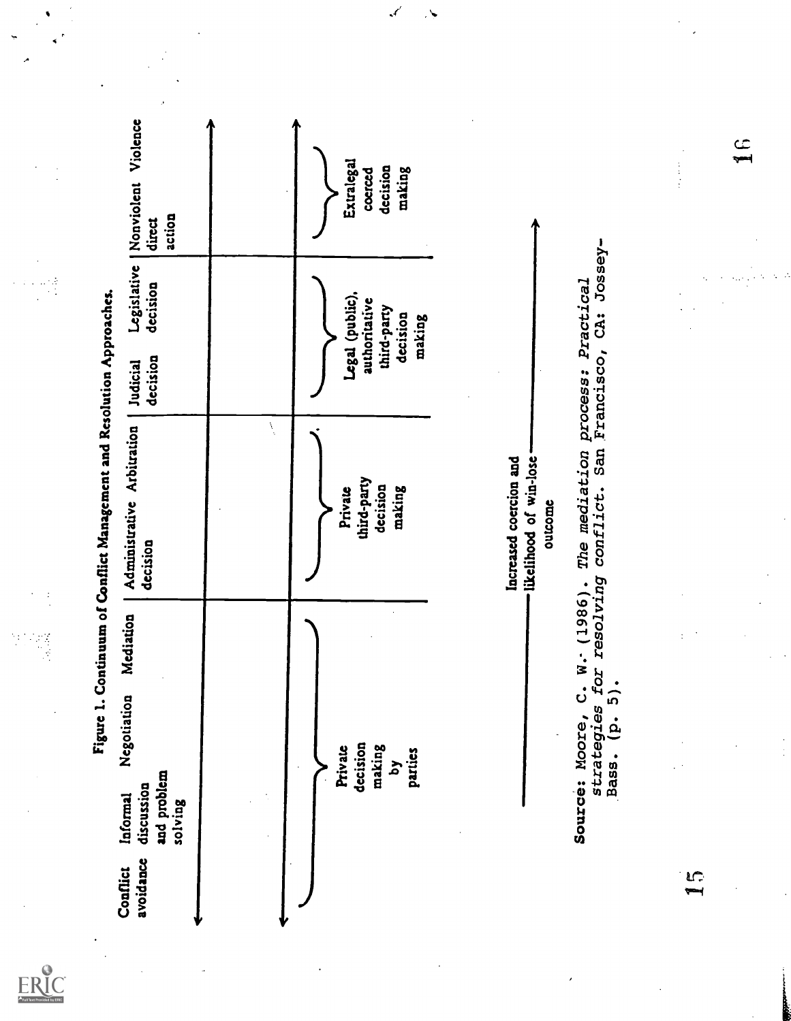| 1. Continuum of Conflict Management and Resolution Approaches.<br>Figure | Nonviolent Violence<br>action<br>direct<br>Legislative                       |             | Extralegal<br>decision<br>making<br>coerced                           |                                                                                                 | CA: Jossey-                 | م<br>پ<br>$\frac{1}{2}$ |
|--------------------------------------------------------------------------|------------------------------------------------------------------------------|-------------|-----------------------------------------------------------------------|-------------------------------------------------------------------------------------------------|-----------------------------|-------------------------|
|                                                                          | decision<br>decision<br>Judicial                                             |             | Legal (public).<br>authoritative<br>third-party<br>decision<br>making |                                                                                                 | Francisco,                  |                         |
|                                                                          | Administrative Arbitration<br>decision                                       | $\lambda_i$ | third-party<br>decision<br>making<br>Private                          | The mediation process: Practical<br>likelihood of win-lose<br>Increased coercion and<br>outcome | conflict. San               |                         |
|                                                                          | Mediation<br>Negotiation<br>and problem<br>discussion<br>Informal<br>solving |             | decision<br>making<br>Private<br>parties<br><b>z</b>                  | resolving<br>C. $W - (1986)$ .<br>for<br>strategies<br>Source: Moore,                           | $\frac{1}{2}$<br>ۼ<br>Bass. | $\frac{1}{2}$           |
|                                                                          | avoidance<br>Conflict                                                        |             |                                                                       |                                                                                                 |                             | $\mathbf{I}$            |

ERIC

 $\epsilon'$ 

 $\ddot{\phantom{1}}$